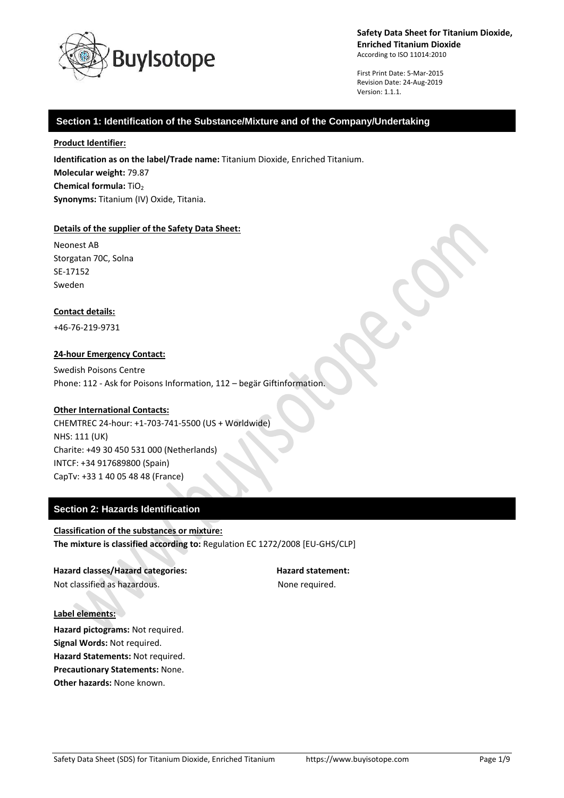

First Print Date: 5-Mar-2015 Revision Date: 24-Aug-2019 Version: 1.1.1.

### **Section 1: Identification of the Substance/Mixture and of the Company/Undertaking**

#### **Product Identifier:**

**Identification as on the label/Trade name:** Titanium Dioxide, Enriched Titanium. **Molecular weight:** 79.87 **Chemical formula:** TiO<sub>2</sub> **Synonyms:** Titanium (IV) Oxide, Titania.

### **Details of the supplier of the Safety Data Sheet:**

Neonest AB Storgatan 70C, Solna SE-17152 Sweden

### **Contact details:**

+46-76-219-9731

### **24-hour Emergency Contact:**

Swedish Poisons Centre Phone: 112 - Ask for Poisons Information, 112 – begär Giftinformation.

### **Other International Contacts:**

CHEMTREC 24-hour: +1-703-741-5500 (US + Worldwide) NHS: 111 (UK) Charite: +49 30 450 531 000 (Netherlands) INTCF: +34 917689800 (Spain) CapTv: +33 1 40 05 48 48 (France)

### **Section 2: Hazards Identification**

**Classification of the substances or mixture: The mixture is classified according to:** Regulation EC 1272/2008 [EU-GHS/CLP]

**Hazard classes/Hazard categories: Hazard statement:** Not classified as hazardous. The state of the None required.

#### **Label elements:**

**Hazard pictograms:** Not required. **Signal Words:** Not required. **Hazard Statements:** Not required. **Precautionary Statements:** None. **Other hazards:** None known.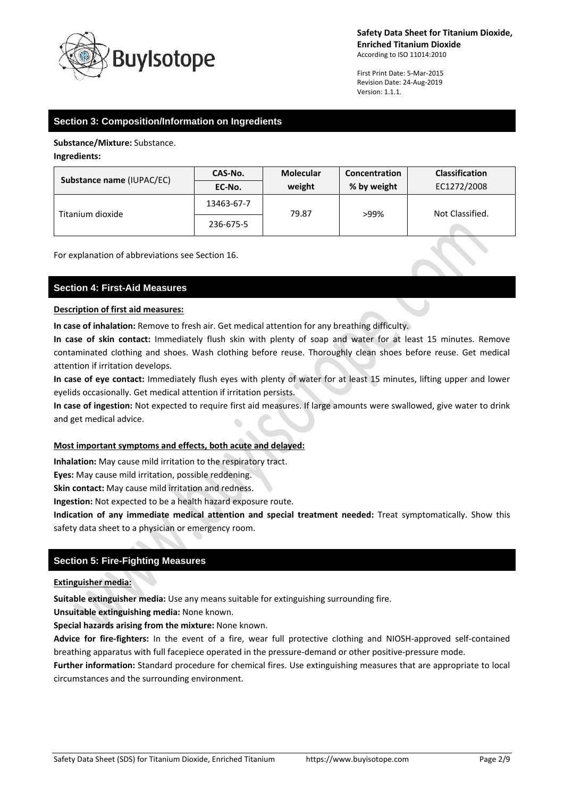

First Print Date: 5-Mar-2015 Revision Date: 24-Aug-2019 Version: 1.1.1.

## **Section 3: Composition/Information on Ingredients**

**Substance/Mixture:** Substance.

### **Ingredients:**

| <b>Substance name (IUPAC/EC)</b> | CAS-No.    | <b>Molecular</b> | Concentration | <b>Classification</b> |
|----------------------------------|------------|------------------|---------------|-----------------------|
|                                  | EC-No.     | weight           | % by weight   | EC1272/2008           |
| Titanium dioxide                 | 13463-67-7 | 79.87            | >99%          | Not Classified.       |
|                                  | 236-675-5  |                  |               |                       |

For explanation of abbreviations see Section 16.

### **Section 4: First-Aid Measures**

#### **Description of first aid measures:**

**In case of inhalation:** Remove to fresh air. Get medical attention for any breathing difficulty.

**In case of skin contact:** Immediately flush skin with plenty of soap and water for at least 15 minutes. Remove contaminated clothing and shoes. Wash clothing before reuse. Thoroughly clean shoes before reuse. Get medical attention if irritation develops.

**In case of eye contact:** Immediately flush eyes with plenty of water for at least 15 minutes, lifting upper and lower eyelids occasionally. Get medical attention if irritation persists.

**In case of ingestion:** Not expected to require first aid measures. If large amounts were swallowed, give water to drink and get medical advice.

### **Most important symptoms and effects, both acute and delayed:**

**Inhalation:** May cause mild irritation to the respiratory tract.

**Eyes:** May cause mild irritation, possible reddening.

**Skin contact:** May cause mild irritation and redness.

**Ingestion:** Not expected to be a health hazard exposure route.

**Indication of any immediate medical attention and special treatment needed:** Treat symptomatically. Show this safety data sheet to a physician or emergency room.

## **Section 5: Fire-Fighting Measures**

### **Extinguisher media:**

**Suitable extinguisher media:** Use any means suitable for extinguishing surrounding fire.

**Unsuitable extinguishing media:** None known.

**Special hazards arising from the mixture:** None known.

**Advice for fire-fighters:** In the event of a fire, wear full protective clothing and NIOSH-approved self-contained breathing apparatus with full facepiece operated in the pressure-demand or other positive-pressure mode.

**Further information:** Standard procedure for chemical fires. Use extinguishing measures that are appropriate to local circumstances and the surrounding environment.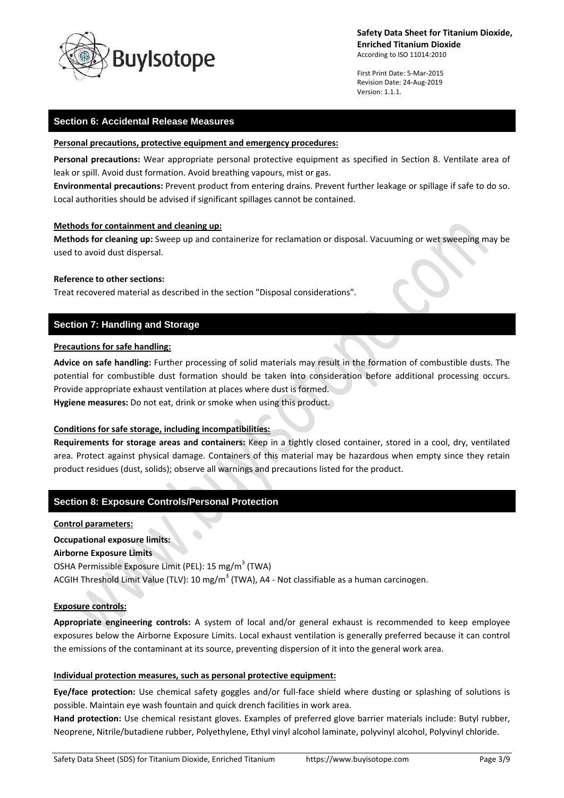

First Print Date: 5-Mar-2015 Revision Date: 24-Aug-2019 Version: 1.1.1.

### **Section 6: Accidental Release Measures**

#### **Personal precautions, protective equipment and emergency procedures:**

**Personal precautions:** Wear appropriate personal protective equipment as specified in Section 8. Ventilate area of leak or spill. Avoid dust formation. Avoid breathing vapours, mist or gas.

**Environmental precautions:** Prevent product from entering drains. Prevent further leakage or spillage if safe to do so. Local authorities should be advised if significant spillages cannot be contained.

### **Methods for containment and cleaning up:**

**Methods for cleaning up:** Sweep up and containerize for reclamation or disposal. Vacuuming or wet sweeping may be used to avoid dust dispersal.

#### **Reference to other sections:**

Treat recovered material as described in the section "Disposal considerations".

## **Section 7: Handling and Storage**

### **Precautions for safe handling:**

**Advice on safe handling:** Further processing of solid materials may result in the formation of combustible dusts. The potential for combustible dust formation should be taken into consideration before additional processing occurs. Provide appropriate exhaust ventilation at places where dust is formed. **Hygiene measures:** Do not eat, drink or smoke when using this product.

### **Conditions for safe storage, including incompatibilities:**

**Requirements for storage areas and containers:** Keep in a tightly closed container, stored in a cool, dry, ventilated area. Protect against physical damage. Containers of this material may be hazardous when empty since they retain product residues (dust, solids); observe all warnings and precautions listed for the product.

### **Section 8: Exposure Controls/Personal Protection**

#### **Control parameters:**

**Occupational exposure limits: Airborne Exposure Limits** OSHA Permissible Exposure Limit (PEL): 15 mg/m<sup>3</sup> (TWA) ACGIH Threshold Limit Value (TLV): 10 mg/m<sup>3</sup> (TWA), A4 - Not classifiable as a human carcinogen.

### **Exposure controls:**

**Appropriate engineering controls:** A system of local and/or general exhaust is recommended to keep employee exposures below the Airborne Exposure Limits. Local exhaust ventilation is generally preferred because it can control the emissions of the contaminant at its source, preventing dispersion of it into the general work area.

### **Individual protection measures, such as personal protective equipment:**

**Eye/face protection:** Use chemical safety goggles and/or full-face shield where dusting or splashing of solutions is possible. Maintain eye wash fountain and quick drench facilities in work area.

**Hand protection:** Use chemical resistant gloves. Examples of preferred glove barrier materials include: Butyl rubber, Neoprene, Nitrile/butadiene rubber, Polyethylene, Ethyl vinyl alcohol laminate, polyvinyl alcohol, Polyvinyl chloride.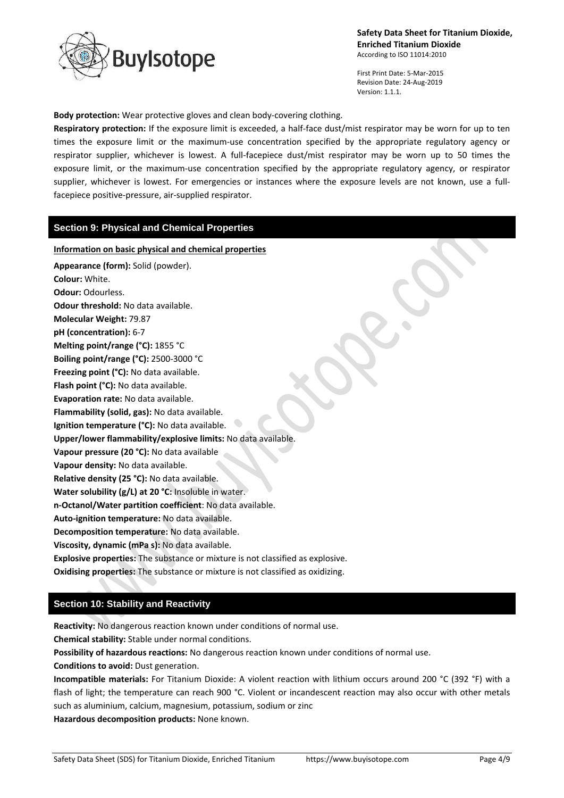

First Print Date: 5-Mar-2015 Revision Date: 24-Aug-2019 Version: 1.1.1.

**Body protection:** Wear protective gloves and clean body-covering clothing.

**Respiratory protection:** If the exposure limit is exceeded, a half-face dust/mist respirator may be worn for up to ten times the exposure limit or the maximum-use concentration specified by the appropriate regulatory agency or respirator supplier, whichever is lowest. A full-facepiece dust/mist respirator may be worn up to 50 times the exposure limit, or the maximum-use concentration specified by the appropriate regulatory agency, or respirator supplier, whichever is lowest. For emergencies or instances where the exposure levels are not known, use a fullfacepiece positive-pressure, air-supplied respirator.

### **Section 9: Physical and Chemical Properties**

**Information on basic physical and chemical properties Appearance (form):** Solid (powder). **Colour:** White. **Odour:** Odourless. **Odour threshold:** No data available. **Molecular Weight:** 79.87 **pH (concentration):** 6-7 **Melting point/range (°C):** 1855 °C **Boiling point/range (°C):** 2500-3000 °C **Freezing point (°C):** No data available. **Flash point (°C):** No data available. **Evaporation rate:** No data available. **Flammability (solid, gas):** No data available. **Ignition temperature (°C):** No data available. **Upper/lower flammability/explosive limits:** No data available. **Vapour pressure (20 °C):** No data available **Vapour density:** No data available. **Relative density (25 °C):** No data available. **Water solubility (g/L) at 20 °C:** Insoluble in water. **n-Octanol/Water partition coefficient**: No data available. **Auto-ignition temperature:** No data available. **Decomposition temperature:** No data available. **Viscosity, dynamic (mPa s):** No data available. **Explosive properties:** The substance or mixture is not classified as explosive. **Oxidising properties:** The substance or mixture is not classified as oxidizing.

### **Section 10: Stability and Reactivity**

**Reactivity:** No dangerous reaction known under conditions of normal use.

**Chemical stability:** Stable under normal conditions.

**Possibility of hazardous reactions:** No dangerous reaction known under conditions of normal use.

**Conditions to avoid:** Dust generation.

**Incompatible materials:** For Titanium Dioxide: A violent reaction with lithium occurs around 200 °C (392 °F) with a flash of light; the temperature can reach 900 °C. Violent or incandescent reaction may also occur with other metals such as aluminium, calcium, magnesium, potassium, sodium or zinc

**Hazardous decomposition products:** None known.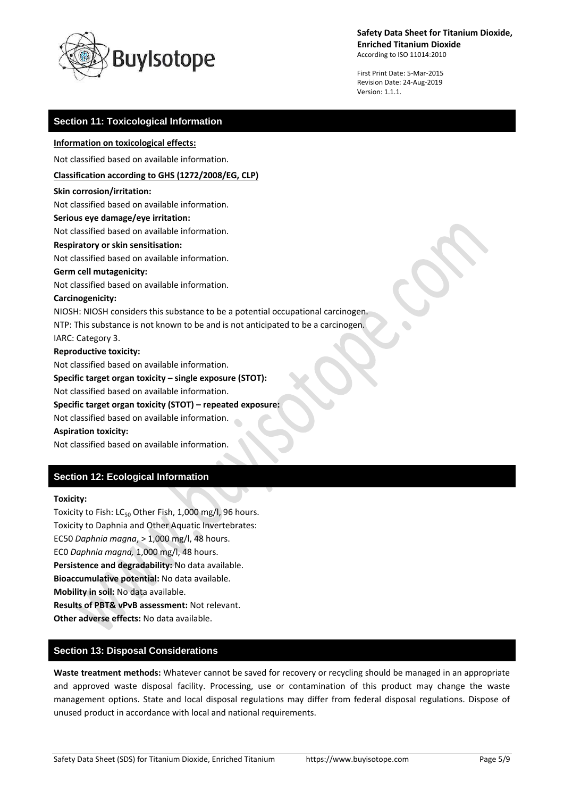

First Print Date: 5-Mar-2015 Revision Date: 24-Aug-2019 Version: 1.1.1.

### **Section 11: Toxicological Information**

### **Information on toxicological effects:**

Not classified based on available information.

### **Classification according to GHS (1272/2008/EG, CLP)**

#### **Skin corrosion/irritation:**

Not classified based on available information.

### **Serious eye damage/eye irritation:**

Not classified based on available information.

### **Respiratory or skin sensitisation:**

Not classified based on available information.

#### **Germ cell mutagenicity:**

Not classified based on available information.

#### **Carcinogenicity:**

NIOSH: NIOSH considers this substance to be a potential occupational carcinogen.

NTP: This substance is not known to be and is not anticipated to be a carcinogen.

IARC: Category 3.

#### **Reproductive toxicity:**

Not classified based on available information.

**Specific target organ toxicity – single exposure (STOT):**

Not classified based on available information.

### **Specific target organ toxicity (STOT) – repeated exposure:**

Not classified based on available information.

### **Aspiration toxicity:**

Not classified based on available information.

## **Section 12: Ecological Information**

### **Toxicity:**

Toxicity to Fish: LC<sub>50</sub> Other Fish, 1,000 mg/l, 96 hours. Toxicity to Daphnia and Other Aquatic Invertebrates: EC50 *Daphnia magna*, > 1,000 mg/l, 48 hours. EC0 *Daphnia magna,* 1,000 mg/l, 48 hours. **Persistence and degradability:** No data available. **Bioaccumulative potential:** No data available. **Mobility in soil:** No data available. **Results of PBT& vPvB assessment:** Not relevant. **Other adverse effects:** No data available.

## **Section 13: Disposal Considerations**

**Waste treatment methods:** Whatever cannot be saved for recovery or recycling should be managed in an appropriate and approved waste disposal facility. Processing, use or contamination of this product may change the waste management options. State and local disposal regulations may differ from federal disposal regulations. Dispose of unused product in accordance with local and national requirements.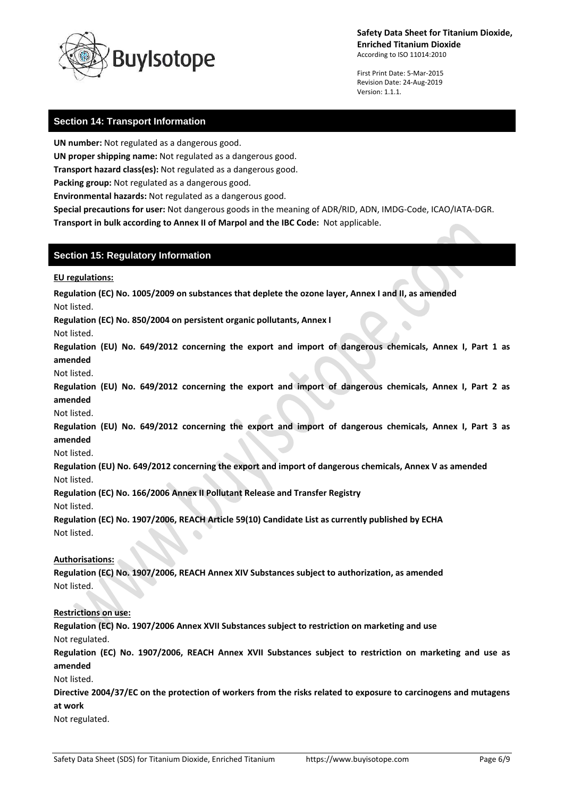

First Print Date: 5-Mar-2015 Revision Date: 24-Aug-2019 Version: 1.1.1.

## **Section 14: Transport Information**

**UN number:** Not regulated as a dangerous good.

**UN proper shipping name:** Not regulated as a dangerous good.

**Transport hazard class(es):** Not regulated as a dangerous good.

**Packing group:** Not regulated as a dangerous good.

**Environmental hazards:** Not regulated as a dangerous good.

**Special precautions for user:** Not dangerous goods in the meaning of ADR/RID, ADN, IMDG-Code, ICAO/IATA-DGR. **Transport in bulk according to Annex II of Marpol and the IBC Code:** Not applicable.

### **Section 15: Regulatory Information**

**EU regulations:**

**Regulation (EC) No. 1005/2009 on substances that deplete the ozone layer, Annex I and II, as amended**

Not listed.

**Regulation (EC) No. 850/2004 on persistent organic pollutants, Annex I**

Not listed.

**Regulation (EU) No. 649/2012 concerning the export and import of dangerous chemicals, Annex I, Part 1 as amended**

Not listed.

**Regulation (EU) No. 649/2012 concerning the export and import of dangerous chemicals, Annex I, Part 2 as amended**

Not listed.

**Regulation (EU) No. 649/2012 concerning the export and import of dangerous chemicals, Annex I, Part 3 as amended**

Not listed.

**Regulation (EU) No. 649/2012 concerning the export and import of dangerous chemicals, Annex V as amended** Not listed.

**Regulation (EC) No. 166/2006 Annex II Pollutant Release and Transfer Registry**

Not listed.

**Regulation (EC) No. 1907/2006, REACH Article 59(10) Candidate List as currently published by ECHA** Not listed.

### **Authorisations:**

**Regulation (EC) No. 1907/2006, REACH Annex XIV Substances subject to authorization, as amended** Not listed.

### **Restrictions on use:**

**Regulation (EC) No. 1907/2006 Annex XVII Substances subject to restriction on marketing and use** Not regulated.

**Regulation (EC) No. 1907/2006, REACH Annex XVII Substances subject to restriction on marketing and use as amended**

Not listed.

**Directive 2004/37/EC on the protection of workers from the risks related to exposure to carcinogens and mutagens at work**

Not regulated.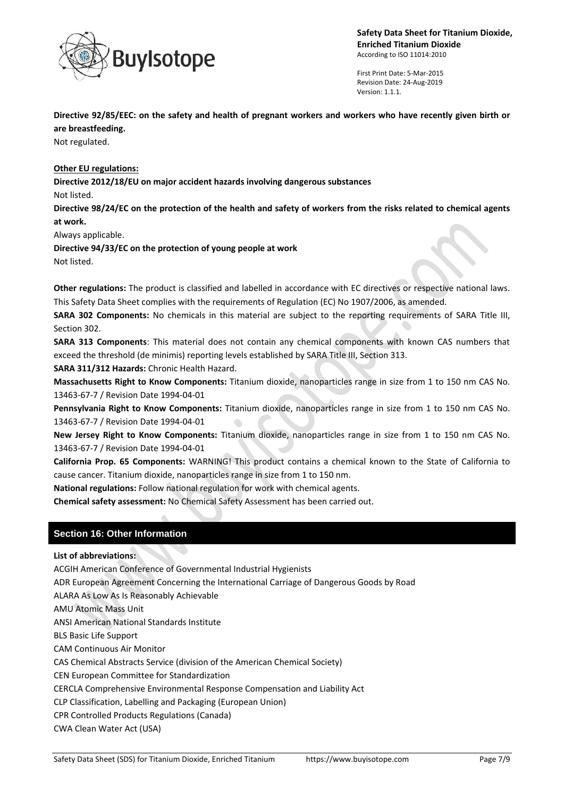

First Print Date: 5-Mar-2015 Revision Date: 24-Aug-2019 Version: 1.1.1.

**Directive 92/85/EEC: on the safety and health of pregnant workers and workers who have recently given birth or are breastfeeding.**

Not regulated.

**Other EU regulations:**

**Directive 2012/18/EU on major accident hazards involving dangerous substances**

Not listed.

**Directive 98/24/EC on the protection of the health and safety of workers from the risks related to chemical agents at work.**

Always applicable.

**Directive 94/33/EC on the protection of young people at work** Not listed.

**Other regulations:** The product is classified and labelled in accordance with EC directives or respective national laws. This Safety Data Sheet complies with the requirements of Regulation (EC) No 1907/2006, as amended.

**SARA 302 Components:** No chemicals in this material are subject to the reporting requirements of SARA Title III, Section 302.

**SARA 313 Components**: This material does not contain any chemical components with known CAS numbers that exceed the threshold (de minimis) reporting levels established by SARA Title III, Section 313.

**SARA 311/312 Hazards:** Chronic Health Hazard.

**Massachusetts Right to Know Components:** Titanium dioxide, nanoparticles range in size from 1 to 150 nm CAS No. 13463-67-7 / Revision Date 1994-04-01

**Pennsylvania Right to Know Components:** Titanium dioxide, nanoparticles range in size from 1 to 150 nm CAS No. 13463-67-7 / Revision Date 1994-04-01

**New Jersey Right to Know Components:** Titanium dioxide, nanoparticles range in size from 1 to 150 nm CAS No. 13463-67-7 / Revision Date 1994-04-01

**California Prop. 65 Components:** WARNING! This product contains a chemical known to the State of California to cause cancer. Titanium dioxide, nanoparticles range in size from 1 to 150 nm.

**National regulations:** Follow national regulation for work with chemical agents.

**Chemical safety assessment:** No Chemical Safety Assessment has been carried out.

## **Section 16: Other Information**

**List of abbreviations:**

ACGIH American Conference of Governmental Industrial Hygienists

ADR European Agreement Concerning the International Carriage of Dangerous Goods by Road

ALARA As Low As Is Reasonably Achievable

AMU Atomic Mass Unit

ANSI American National Standards Institute

BLS Basic Life Support

CAM Continuous Air Monitor

CAS Chemical Abstracts Service (division of the American Chemical Society)

CEN European Committee for Standardization

CERCLA Comprehensive Environmental Response Compensation and Liability Act

CLP Classification, Labelling and Packaging (European Union)

CPR Controlled Products Regulations (Canada)

CWA Clean Water Act (USA)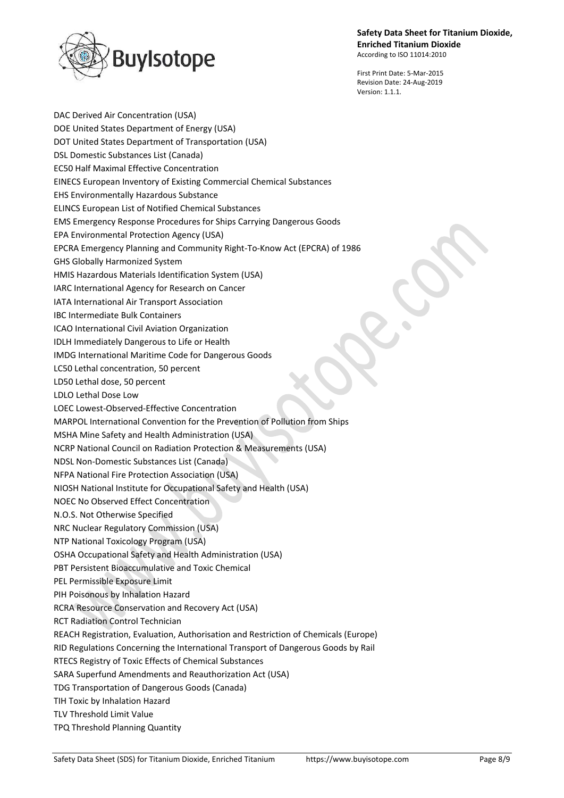# **Safety Data Sheet for Titanium Dioxide, Enriched Titanium Dioxide**



According to ISO 11014:2010

First Print Date: 5-Mar-2015 Revision Date: 24-Aug-2019 Version: 1.1.1.

DAC Derived Air Concentration (USA) DOE United States Department of Energy (USA) DOT United States Department of Transportation (USA) DSL Domestic Substances List (Canada) EC50 Half Maximal Effective Concentration EINECS European Inventory of Existing Commercial Chemical Substances EHS Environmentally Hazardous Substance ELINCS European List of Notified Chemical Substances EMS Emergency Response Procedures for Ships Carrying Dangerous Goods EPA Environmental Protection Agency (USA) EPCRA Emergency Planning and Community Right-To-Know Act (EPCRA) of 1986 GHS Globally Harmonized System HMIS Hazardous Materials Identification System (USA) IARC International Agency for Research on Cancer IATA International Air Transport Association IBC Intermediate Bulk Containers ICAO International Civil Aviation Organization IDLH Immediately Dangerous to Life or Health IMDG International Maritime Code for Dangerous Goods LC50 Lethal concentration, 50 percent LD50 Lethal dose, 50 percent LDLO Lethal Dose Low LOEC Lowest-Observed-Effective Concentration MARPOL International Convention for the Prevention of Pollution from Ships MSHA Mine Safety and Health Administration (USA) NCRP National Council on Radiation Protection & Measurements (USA) NDSL Non-Domestic Substances List (Canada) NFPA National Fire Protection Association (USA) NIOSH National Institute for Occupational Safety and Health (USA) NOEC No Observed Effect Concentration N.O.S. Not Otherwise Specified NRC Nuclear Regulatory Commission (USA) NTP National Toxicology Program (USA) OSHA Occupational Safety and Health Administration (USA) PBT Persistent Bioaccumulative and Toxic Chemical PEL Permissible Exposure Limit PIH Poisonous by Inhalation Hazard RCRA Resource Conservation and Recovery Act (USA) RCT Radiation Control Technician REACH Registration, Evaluation, Authorisation and Restriction of Chemicals (Europe) RID Regulations Concerning the International Transport of Dangerous Goods by Rail RTECS Registry of Toxic Effects of Chemical Substances SARA Superfund Amendments and Reauthorization Act (USA) TDG Transportation of Dangerous Goods (Canada) TIH Toxic by Inhalation Hazard TLV Threshold Limit Value TPQ Threshold Planning Quantity